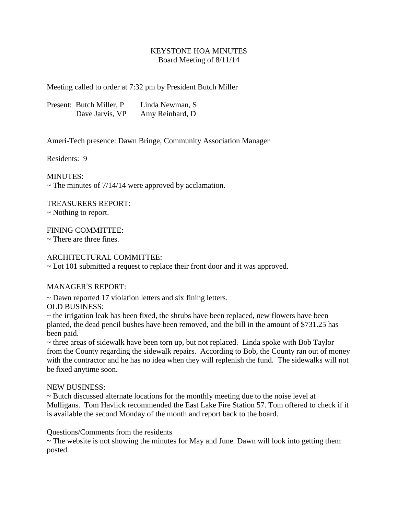## KEYSTONE HOA MINUTES Board Meeting of 8/11/14

Meeting called to order at 7:32 pm by President Butch Miller

Present: Butch Miller, P Linda Newman, S Dave Jarvis, VP Amy Reinhard, D

Ameri-Tech presence: Dawn Bringe, Community Association Manager

Residents: 9

MINUTES:

 $\sim$  The minutes of 7/14/14 were approved by acclamation.

TREASURERS REPORT:

~ Nothing to report.

FINING COMMITTEE:

 $\sim$  There are three fines.

## ARCHITECTURAL COMMITTEE:

~ Lot 101 submitted a request to replace their front door and it was approved.

## MANAGER'S REPORT:

~ Dawn reported 17 violation letters and six fining letters.

OLD BUSINESS:

 $\sim$  the irrigation leak has been fixed, the shrubs have been replaced, new flowers have been planted, the dead pencil bushes have been removed, and the bill in the amount of \$731.25 has been paid.

~ three areas of sidewalk have been torn up, but not replaced. Linda spoke with Bob Taylor from the County regarding the sidewalk repairs. According to Bob, the County ran out of money with the contractor and he has no idea when they will replenish the fund. The sidewalks will not be fixed anytime soon.

## NEW BUSINESS:

~ Butch discussed alternate locations for the monthly meeting due to the noise level at Mulligans. Tom Havlick recommended the East Lake Fire Station 57. Tom offered to check if it is available the second Monday of the month and report back to the board.

Questions/Comments from the residents

~ The website is not showing the minutes for May and June. Dawn will look into getting them posted.